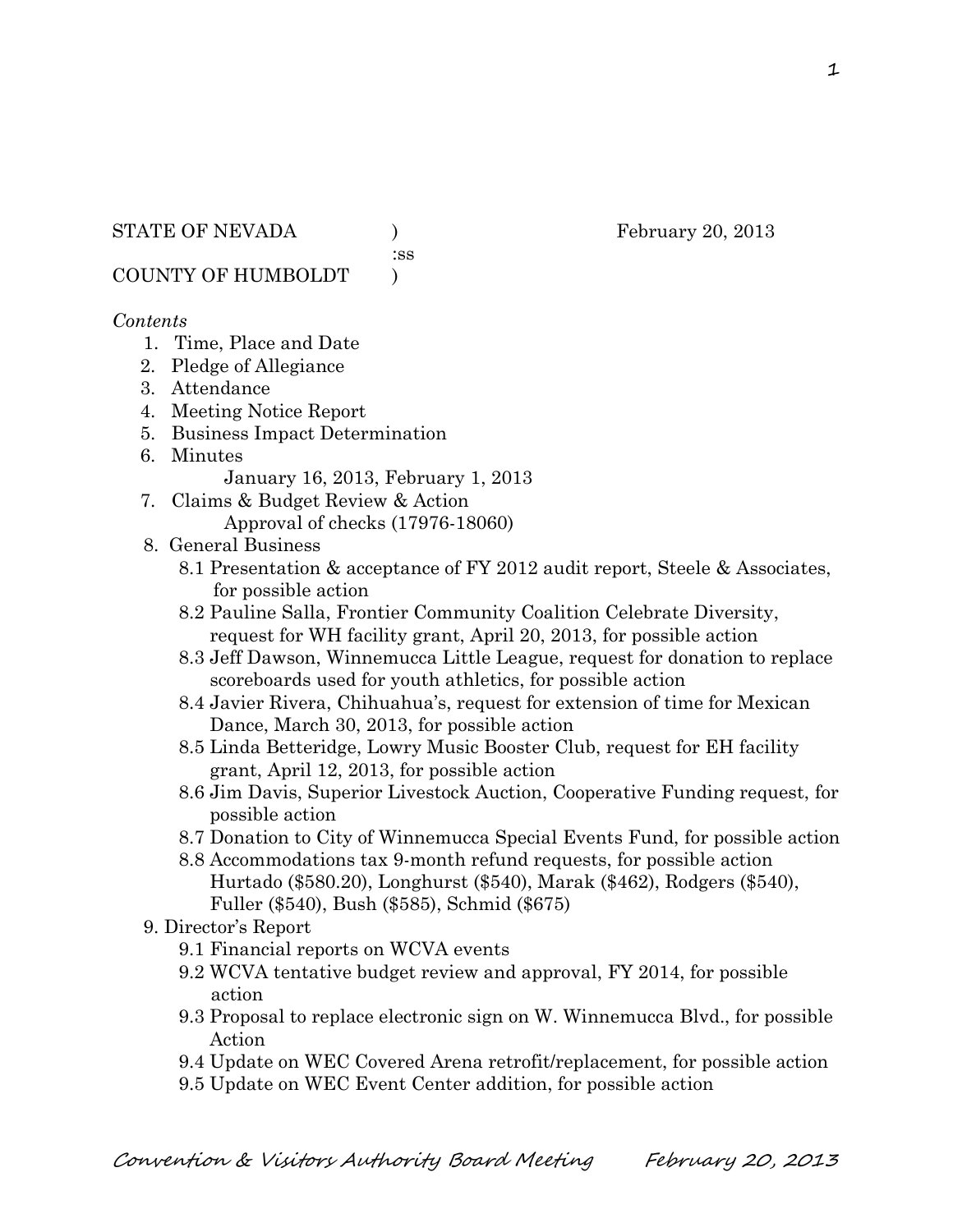:ss

COUNTY OF HUMBOLDT )

### *Contents*

- 1. Time, Place and Date
- 2. Pledge of Allegiance
- 3. Attendance
- 4. Meeting Notice Report
- 5. Business Impact Determination
- 6. Minutes

January 16, 2013, February 1, 2013

7. Claims & Budget Review & Action Approval of checks (17976-18060)

## 8. General Business

- 8.1 Presentation & acceptance of FY 2012 audit report, Steele & Associates, for possible action
- 8.2 Pauline Salla, Frontier Community Coalition Celebrate Diversity, request for WH facility grant, April 20, 2013, for possible action
- 8.3 Jeff Dawson, Winnemucca Little League, request for donation to replace scoreboards used for youth athletics, for possible action
- 8.4 Javier Rivera, Chihuahua's, request for extension of time for Mexican Dance, March 30, 2013, for possible action
- 8.5 Linda Betteridge, Lowry Music Booster Club, request for EH facility grant, April 12, 2013, for possible action
- 8.6 Jim Davis, Superior Livestock Auction, Cooperative Funding request, for possible action
- 8.7 Donation to City of Winnemucca Special Events Fund, for possible action
- 8.8 Accommodations tax 9-month refund requests, for possible action Hurtado (\$580.20), Longhurst (\$540), Marak (\$462), Rodgers (\$540), Fuller (\$540), Bush (\$585), Schmid (\$675)
- 9. Director's Report
	- 9.1 Financial reports on WCVA events
	- 9.2 WCVA tentative budget review and approval, FY 2014, for possible action
	- 9.3 Proposal to replace electronic sign on W. Winnemucca Blvd., for possible Action
	- 9.4 Update on WEC Covered Arena retrofit/replacement, for possible action
	- 9.5 Update on WEC Event Center addition, for possible action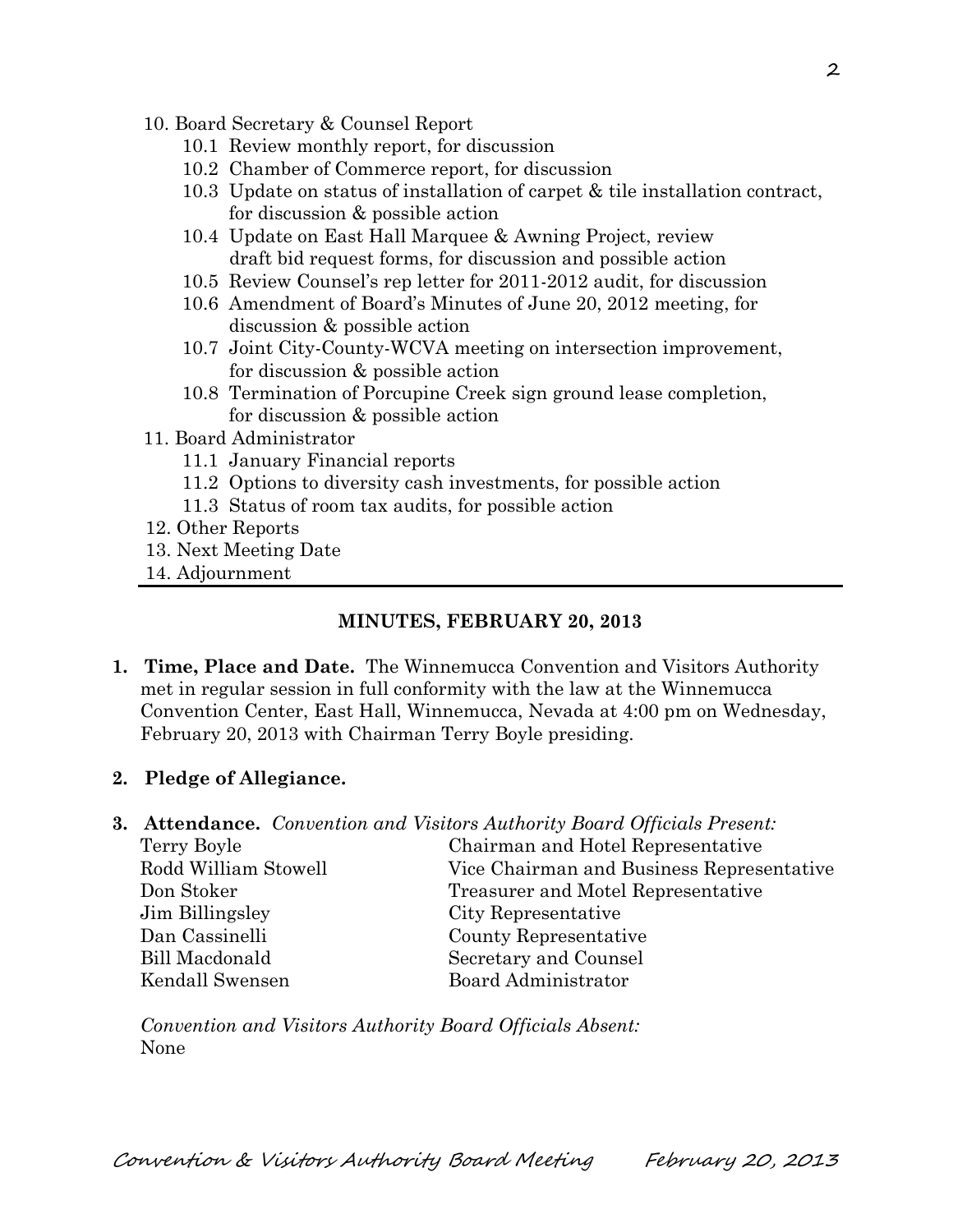- 10. Board Secretary & Counsel Report
	- 10.1 Review monthly report, for discussion
	- 10.2 Chamber of Commerce report, for discussion
	- 10.3 Update on status of installation of carpet & tile installation contract, for discussion & possible action
	- 10.4 Update on East Hall Marquee & Awning Project, review draft bid request forms, for discussion and possible action
	- 10.5 Review Counsel's rep letter for 2011-2012 audit, for discussion
	- 10.6 Amendment of Board's Minutes of June 20, 2012 meeting, for discussion & possible action
	- 10.7 Joint City-County-WCVA meeting on intersection improvement, for discussion & possible action
	- 10.8 Termination of Porcupine Creek sign ground lease completion, for discussion & possible action
- 11. Board Administrator
	- 11.1 January Financial reports
	- 11.2 Options to diversity cash investments, for possible action
	- 11.3 Status of room tax audits, for possible action
- 12. Other Reports
- 13. Next Meeting Date
- 14. Adjournment

#### **MINUTES, FEBRUARY 20, 2013**

- **1. Time, Place and Date.** The Winnemucca Convention and Visitors Authority met in regular session in full conformity with the law at the Winnemucca Convention Center, East Hall, Winnemucca, Nevada at 4:00 pm on Wednesday, February 20, 2013 with Chairman Terry Boyle presiding.
- **2. Pledge of Allegiance.**
- **3. Attendance.** *Convention and Visitors Authority Board Officials Present:*

| Terry Boyle          | Chairman and Hotel Representative         |
|----------------------|-------------------------------------------|
| Rodd William Stowell | Vice Chairman and Business Representative |
| Don Stoker           | Treasurer and Motel Representative        |
| Jim Billingsley      | City Representative                       |
| Dan Cassinelli       | County Representative                     |
| Bill Macdonald       | Secretary and Counsel                     |
| Kendall Swensen      | Board Administrator                       |

*Convention and Visitors Authority Board Officials Absent:* None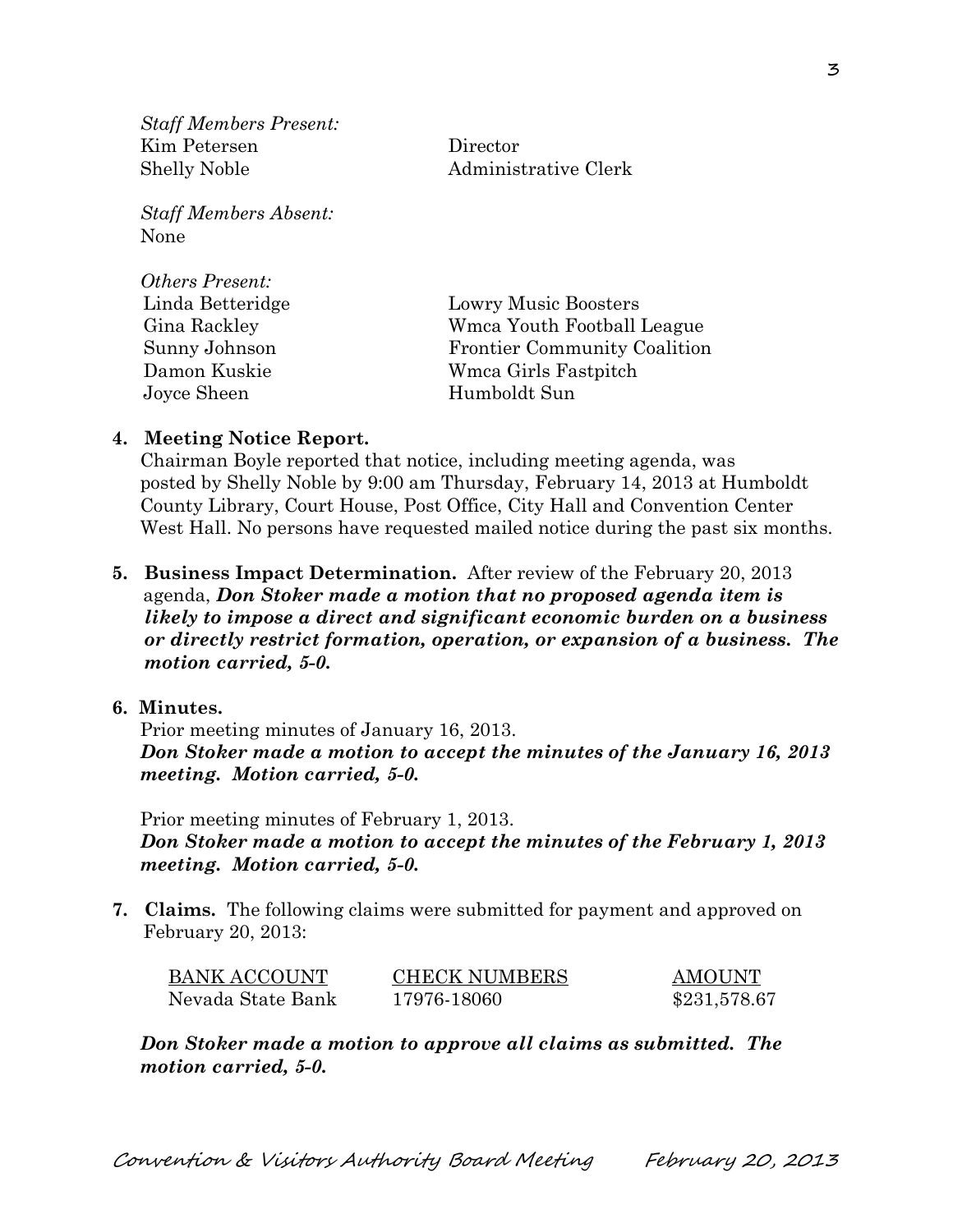*Staff Members Present:* Kim Petersen Director Shelly Noble Administrative Clerk

*Staff Members Absent:* None

*Others Present:*

| <i>Uthers I resent.</i> |                                     |
|-------------------------|-------------------------------------|
| Linda Betteridge        | <b>Lowry Music Boosters</b>         |
| Gina Rackley            | Wmca Youth Football League          |
| Sunny Johnson           | <b>Frontier Community Coalition</b> |
| Damon Kuskie            | Wmca Girls Fastpitch                |
| Joyce Sheen             | Humboldt Sun                        |
|                         |                                     |

#### **4. Meeting Notice Report.**

Chairman Boyle reported that notice, including meeting agenda, was posted by Shelly Noble by 9:00 am Thursday, February 14, 2013 at Humboldt County Library, Court House, Post Office, City Hall and Convention Center West Hall. No persons have requested mailed notice during the past six months.

**5. Business Impact Determination.** After review of the February 20, 2013 agenda, *Don Stoker made a motion that no proposed agenda item is likely to impose a direct and significant economic burden on a business or directly restrict formation, operation, or expansion of a business. The motion carried, 5-0.* 

#### **6. Minutes.**

Prior meeting minutes of January 16, 2013. *Don Stoker made a motion to accept the minutes of the January 16, 2013 meeting. Motion carried, 5-0.* 

Prior meeting minutes of February 1, 2013. *Don Stoker made a motion to accept the minutes of the February 1, 2013 meeting. Motion carried, 5-0.* 

**7. Claims.** The following claims were submitted for payment and approved on February 20, 2013:

| <b>BANK ACCOUNT</b> | <b>CHECK NUMBERS</b> | AMOUNT       |
|---------------------|----------------------|--------------|
| Nevada State Bank   | 17976-18060          | \$231,578.67 |

*Don Stoker made a motion to approve all claims as submitted. The motion carried, 5-0.*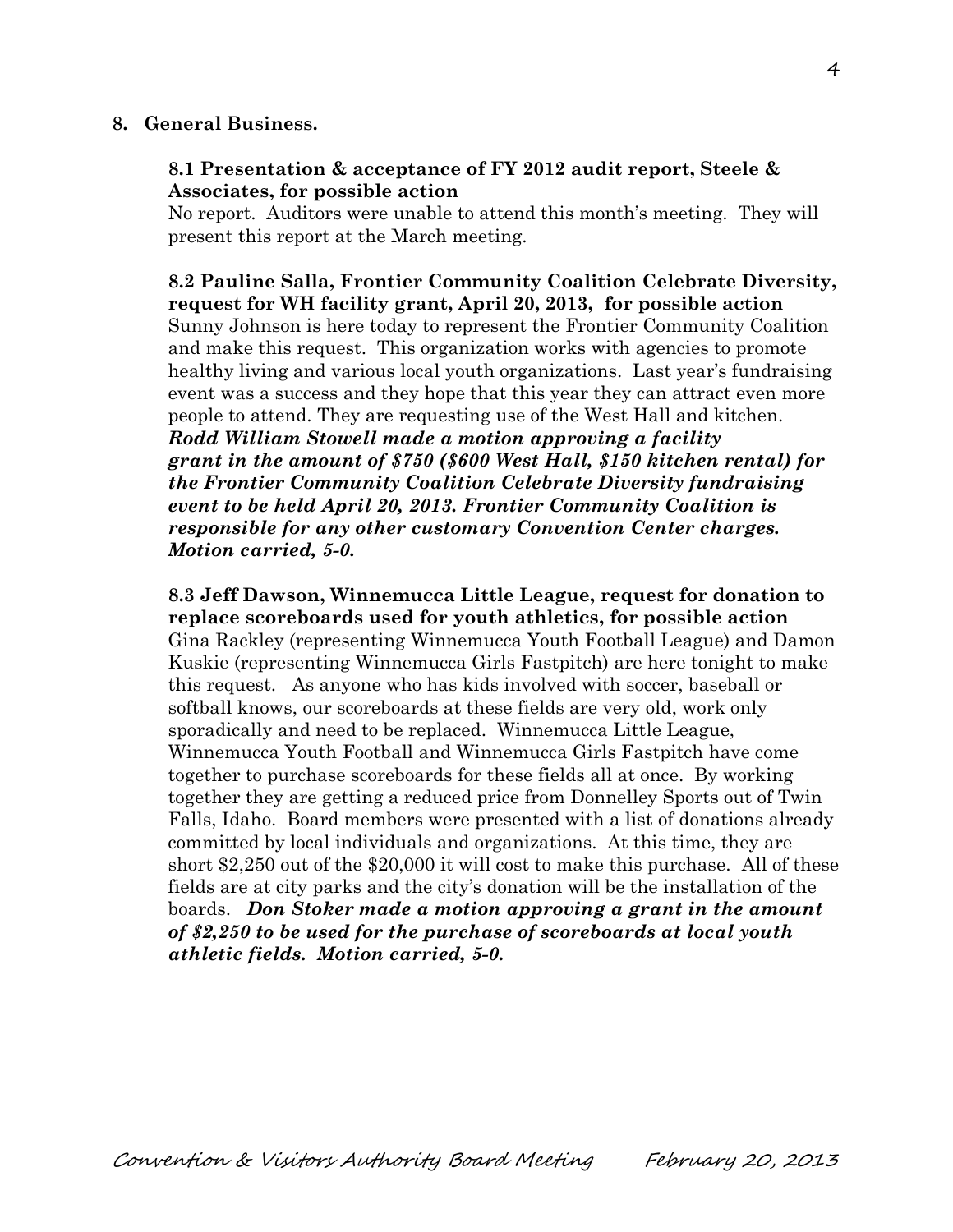#### **8. General Business.**

### **8.1 Presentation & acceptance of FY 2012 audit report, Steele & Associates, for possible action**

No report. Auditors were unable to attend this month's meeting. They will present this report at the March meeting.

**8.2 Pauline Salla, Frontier Community Coalition Celebrate Diversity, request for WH facility grant, April 20, 2013, for possible action** Sunny Johnson is here today to represent the Frontier Community Coalition and make this request. This organization works with agencies to promote healthy living and various local youth organizations. Last year's fundraising event was a success and they hope that this year they can attract even more people to attend. They are requesting use of the West Hall and kitchen. *Rodd William Stowell made a motion approving a facility grant in the amount of \$750 (\$600 West Hall, \$150 kitchen rental) for the Frontier Community Coalition Celebrate Diversity fundraising event to be held April 20, 2013. Frontier Community Coalition is responsible for any other customary Convention Center charges.* 

*Motion carried, 5-0.*

**8.3 Jeff Dawson, Winnemucca Little League, request for donation to replace scoreboards used for youth athletics, for possible action** Gina Rackley (representing Winnemucca Youth Football League) and Damon Kuskie (representing Winnemucca Girls Fastpitch) are here tonight to make this request. As anyone who has kids involved with soccer, baseball or softball knows, our scoreboards at these fields are very old, work only sporadically and need to be replaced. Winnemucca Little League, Winnemucca Youth Football and Winnemucca Girls Fastpitch have come together to purchase scoreboards for these fields all at once. By working together they are getting a reduced price from Donnelley Sports out of Twin Falls, Idaho. Board members were presented with a list of donations already committed by local individuals and organizations. At this time, they are short \$2,250 out of the \$20,000 it will cost to make this purchase. All of these fields are at city parks and the city's donation will be the installation of the boards. *Don Stoker made a motion approving a grant in the amount of \$2,250 to be used for the purchase of scoreboards at local youth athletic fields. Motion carried, 5-0.*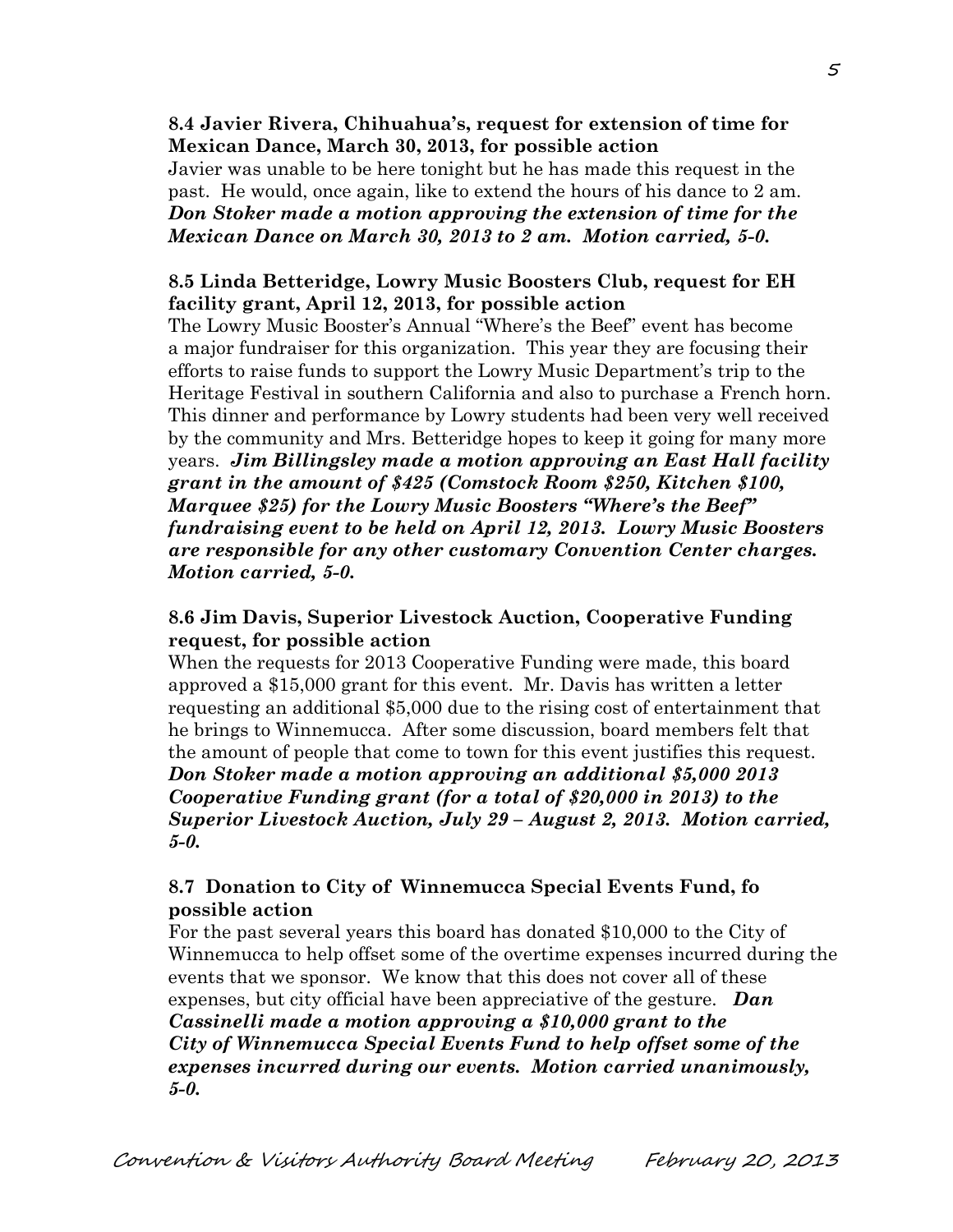### **8.4 Javier Rivera, Chihuahua's, request for extension of time for Mexican Dance, March 30, 2013, for possible action**

Javier was unable to be here tonight but he has made this request in the past. He would, once again, like to extend the hours of his dance to 2 am. *Don Stoker made a motion approving the extension of time for the Mexican Dance on March 30, 2013 to 2 am. Motion carried, 5-0.*

## **8.5 Linda Betteridge, Lowry Music Boosters Club, request for EH facility grant, April 12, 2013, for possible action**

The Lowry Music Booster's Annual "Where's the Beef" event has become a major fundraiser for this organization. This year they are focusing their efforts to raise funds to support the Lowry Music Department's trip to the Heritage Festival in southern California and also to purchase a French horn. This dinner and performance by Lowry students had been very well received by the community and Mrs. Betteridge hopes to keep it going for many more years. *Jim Billingsley made a motion approving an East Hall facility grant in the amount of \$425 (Comstock Room \$250, Kitchen \$100, Marquee \$25) for the Lowry Music Boosters "Where's the Beef" fundraising event to be held on April 12, 2013. Lowry Music Boosters are responsible for any other customary Convention Center charges. Motion carried, 5-0.*

## **8.6 Jim Davis, Superior Livestock Auction, Cooperative Funding request, for possible action**

When the requests for 2013 Cooperative Funding were made, this board approved a \$15,000 grant for this event. Mr. Davis has written a letter requesting an additional \$5,000 due to the rising cost of entertainment that he brings to Winnemucca. After some discussion, board members felt that the amount of people that come to town for this event justifies this request. *Don Stoker made a motion approving an additional \$5,000 2013 Cooperative Funding grant (for a total of \$20,000 in 2013) to the Superior Livestock Auction, July 29 – August 2, 2013. Motion carried, 5-0.*

## **8.7 Donation to City of Winnemucca Special Events Fund, fo possible action**

For the past several years this board has donated \$10,000 to the City of Winnemucca to help offset some of the overtime expenses incurred during the events that we sponsor. We know that this does not cover all of these expenses, but city official have been appreciative of the gesture. *Dan Cassinelli made a motion approving a \$10,000 grant to the City of Winnemucca Special Events Fund to help offset some of the expenses incurred during our events. Motion carried unanimously, 5-0.*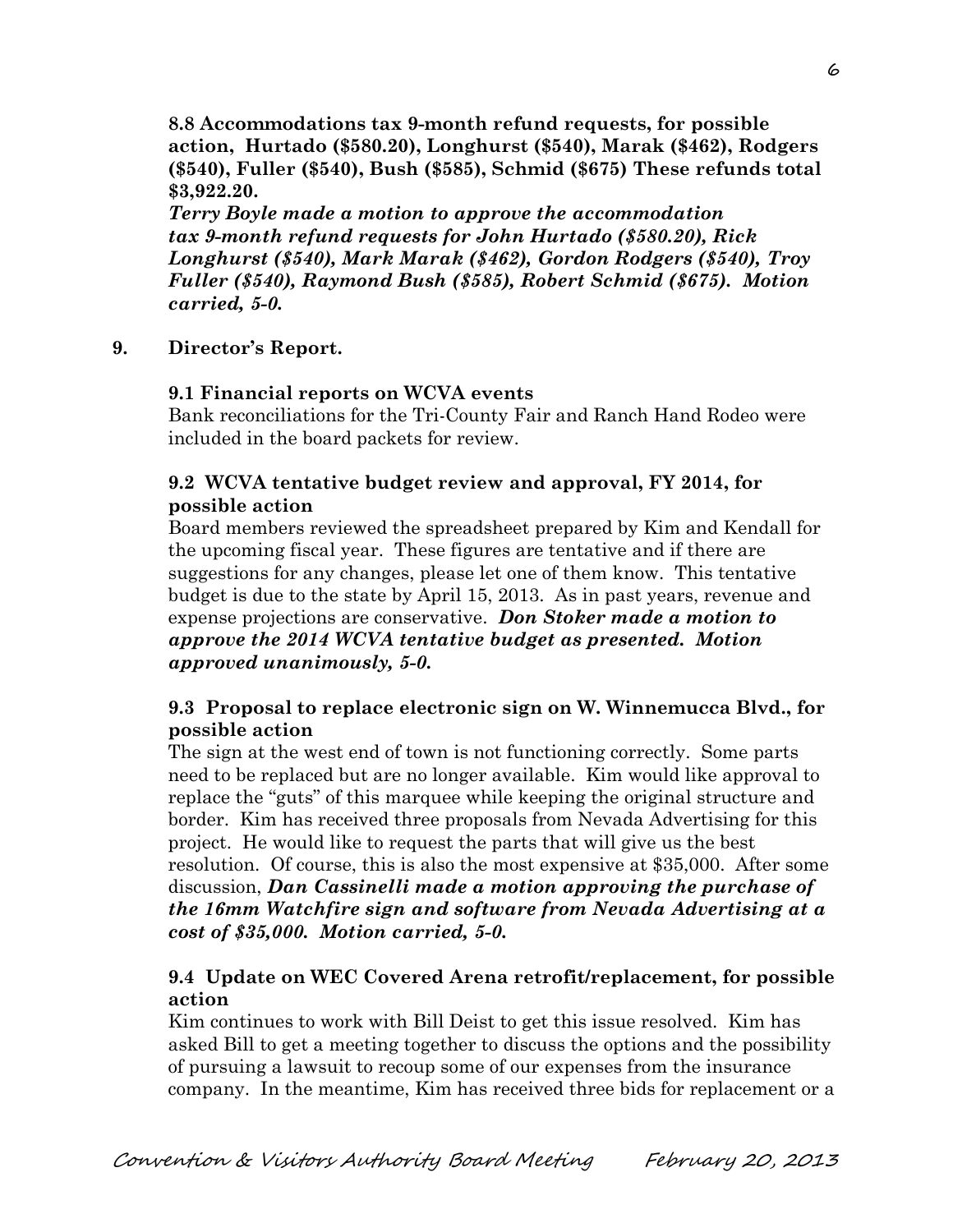**8.8 Accommodations tax 9-month refund requests, for possible action, Hurtado (\$580.20), Longhurst (\$540), Marak (\$462), Rodgers (\$540), Fuller (\$540), Bush (\$585), Schmid (\$675) These refunds total \$3,922.20.**

*Terry Boyle made a motion to approve the accommodation tax 9-month refund requests for John Hurtado (\$580.20), Rick Longhurst (\$540), Mark Marak (\$462), Gordon Rodgers (\$540), Troy Fuller (\$540), Raymond Bush (\$585), Robert Schmid (\$675). Motion carried, 5-0.* 

### **9. Director's Report.**

#### **9.1 Financial reports on WCVA events**

Bank reconciliations for the Tri-County Fair and Ranch Hand Rodeo were included in the board packets for review.

### **9.2 WCVA tentative budget review and approval, FY 2014, for possible action**

Board members reviewed the spreadsheet prepared by Kim and Kendall for the upcoming fiscal year. These figures are tentative and if there are suggestions for any changes, please let one of them know. This tentative budget is due to the state by April 15, 2013. As in past years, revenue and expense projections are conservative. *Don Stoker made a motion to approve the 2014 WCVA tentative budget as presented. Motion approved unanimously, 5-0.*

### **9.3 Proposal to replace electronic sign on W. Winnemucca Blvd., for possible action**

The sign at the west end of town is not functioning correctly. Some parts need to be replaced but are no longer available. Kim would like approval to replace the "guts" of this marquee while keeping the original structure and border. Kim has received three proposals from Nevada Advertising for this project. He would like to request the parts that will give us the best resolution. Of course, this is also the most expensive at \$35,000. After some discussion, *Dan Cassinelli made a motion approving the purchase of the 16mm Watchfire sign and software from Nevada Advertising at a cost of \$35,000. Motion carried, 5-0.* 

### **9.4 Update on WEC Covered Arena retrofit/replacement, for possible action**

Kim continues to work with Bill Deist to get this issue resolved. Kim has asked Bill to get a meeting together to discuss the options and the possibility of pursuing a lawsuit to recoup some of our expenses from the insurance company. In the meantime, Kim has received three bids for replacement or a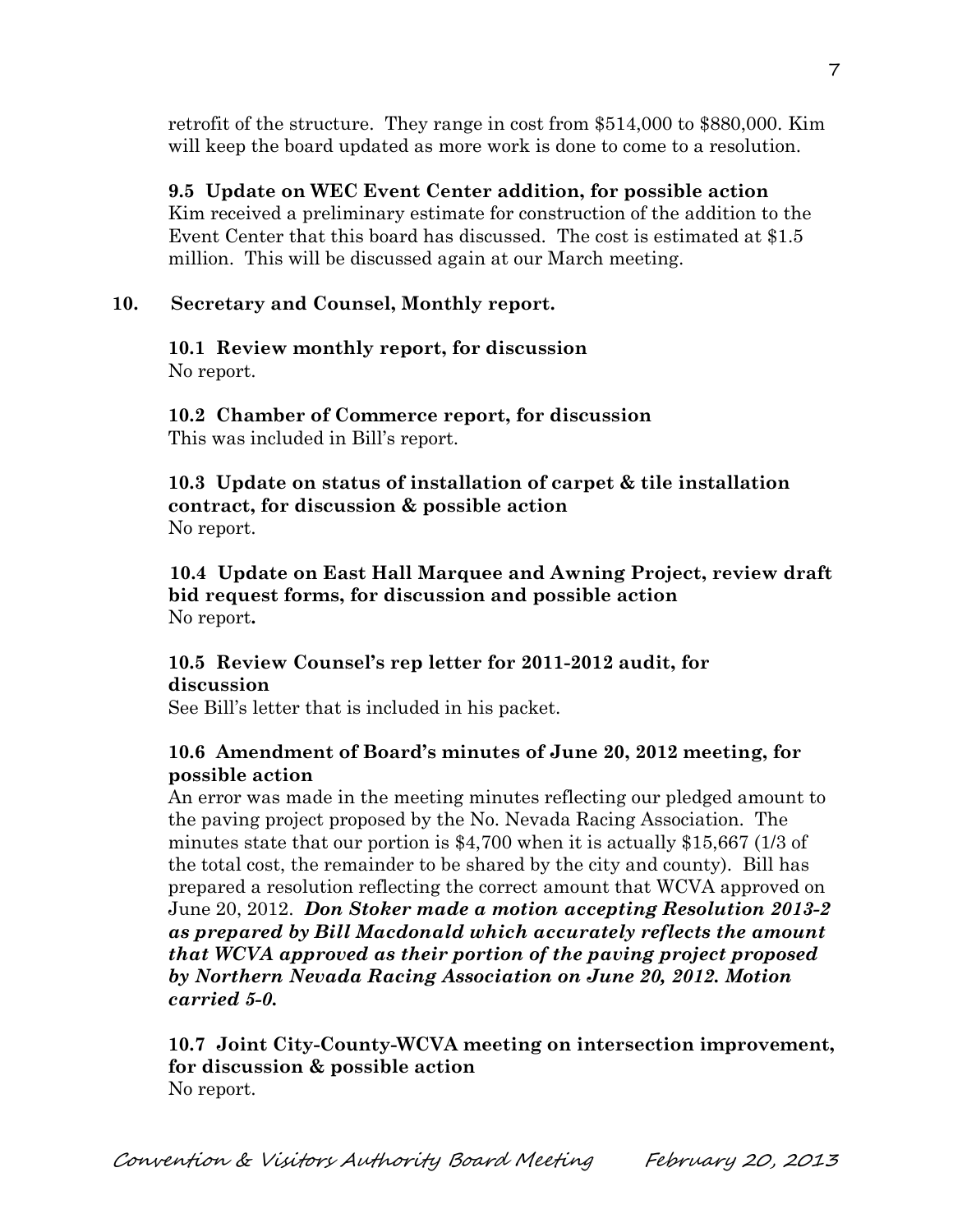retrofit of the structure. They range in cost from \$514,000 to \$880,000. Kim will keep the board updated as more work is done to come to a resolution.

## **9.5 Update on WEC Event Center addition, for possible action**

Kim received a preliminary estimate for construction of the addition to the Event Center that this board has discussed. The cost is estimated at \$1.5 million. This will be discussed again at our March meeting.

## **10. Secretary and Counsel, Monthly report.**

### **10.1 Review monthly report, for discussion** No report.

**10.2 Chamber of Commerce report, for discussion** This was included in Bill's report.

## **10.3 Update on status of installation of carpet & tile installation contract, for discussion & possible action** No report.

 **10.4 Update on East Hall Marquee and Awning Project, review draft bid request forms, for discussion and possible action** No report**.**

# **10.5 Review Counsel's rep letter for 2011-2012 audit, for discussion**

See Bill's letter that is included in his packet.

## **10.6 Amendment of Board's minutes of June 20, 2012 meeting, for possible action**

An error was made in the meeting minutes reflecting our pledged amount to the paving project proposed by the No. Nevada Racing Association. The minutes state that our portion is \$4,700 when it is actually \$15,667 (1/3 of the total cost, the remainder to be shared by the city and county). Bill has prepared a resolution reflecting the correct amount that WCVA approved on June 20, 2012. *Don Stoker made a motion accepting Resolution 2013-2 as prepared by Bill Macdonald which accurately reflects the amount that WCVA approved as their portion of the paving project proposed by Northern Nevada Racing Association on June 20, 2012. Motion carried 5-0.* 

## **10.7 Joint City-County-WCVA meeting on intersection improvement, for discussion & possible action** No report.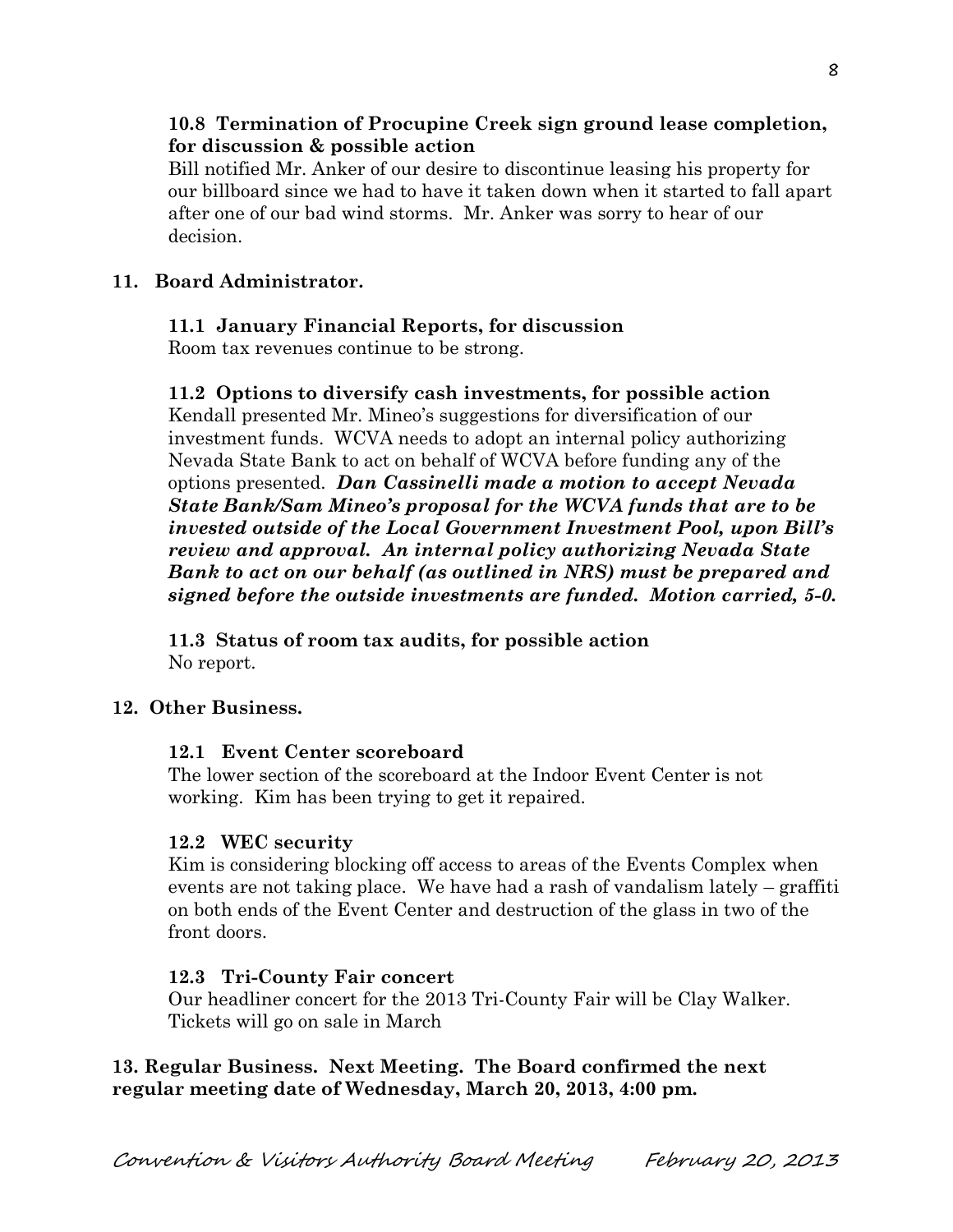## **10.8 Termination of Procupine Creek sign ground lease completion, for discussion & possible action**

Bill notified Mr. Anker of our desire to discontinue leasing his property for our billboard since we had to have it taken down when it started to fall apart after one of our bad wind storms. Mr. Anker was sorry to hear of our decision.

## **11. Board Administrator.**

## **11.1 January Financial Reports, for discussion**

Room tax revenues continue to be strong.

## **11.2 Options to diversify cash investments, for possible action**

Kendall presented Mr. Mineo's suggestions for diversification of our investment funds. WCVA needs to adopt an internal policy authorizing Nevada State Bank to act on behalf of WCVA before funding any of the options presented. *Dan Cassinelli made a motion to accept Nevada State Bank/Sam Mineo's proposal for the WCVA funds that are to be invested outside of the Local Government Investment Pool, upon Bill's review and approval. An internal policy authorizing Nevada State Bank to act on our behalf (as outlined in NRS) must be prepared and signed before the outside investments are funded. Motion carried, 5-0.* 

**11.3 Status of room tax audits, for possible action** No report.

### **12. Other Business.**

## **12.1 Event Center scoreboard**

The lower section of the scoreboard at the Indoor Event Center is not working. Kim has been trying to get it repaired.

## **12.2 WEC security**

Kim is considering blocking off access to areas of the Events Complex when events are not taking place. We have had a rash of vandalism lately – graffiti on both ends of the Event Center and destruction of the glass in two of the front doors.

### **12.3 Tri-County Fair concert**

Our headliner concert for the 2013 Tri-County Fair will be Clay Walker. Tickets will go on sale in March

**13. Regular Business. Next Meeting. The Board confirmed the next regular meeting date of Wednesday, March 20, 2013, 4:00 pm.**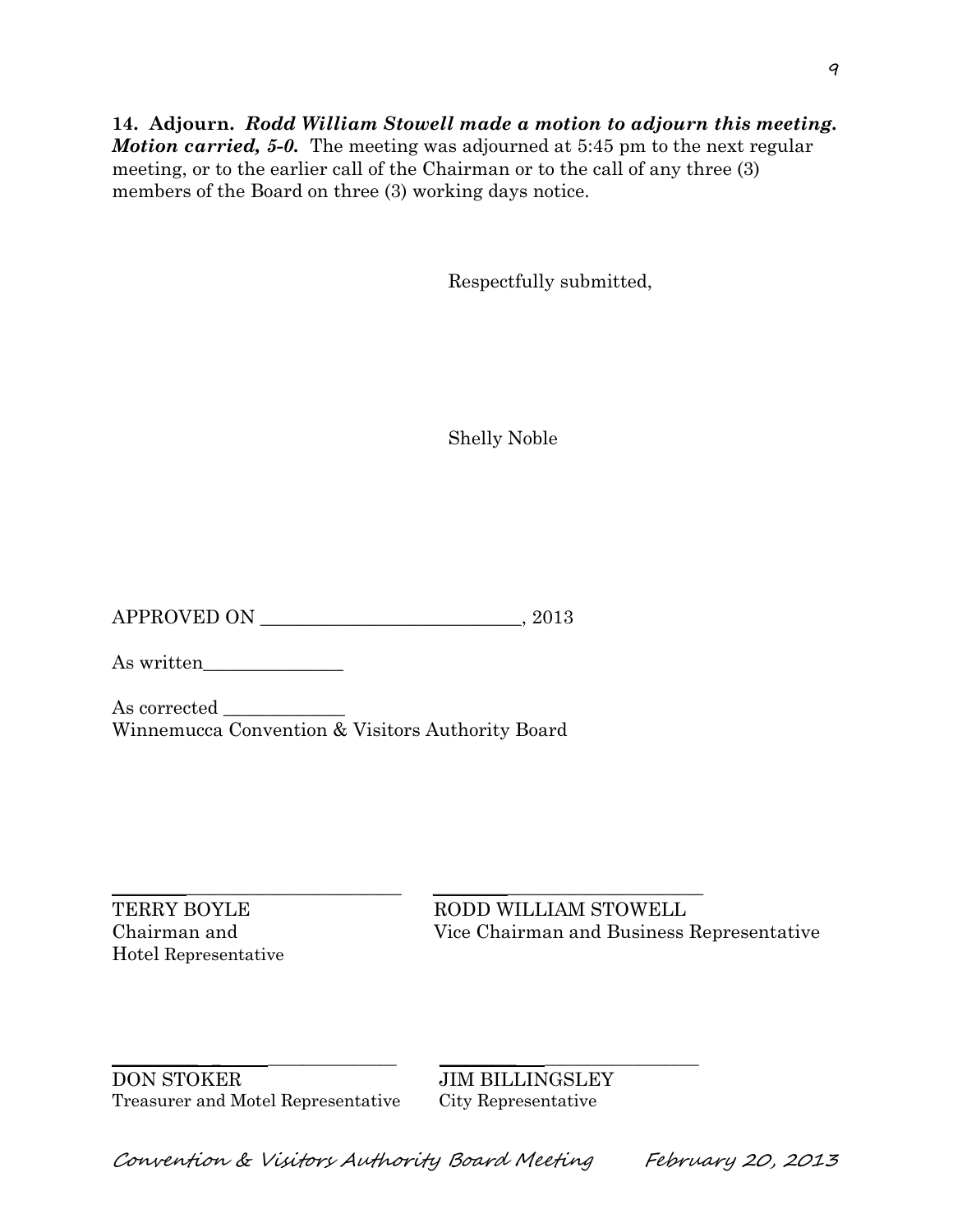**14. Adjourn.** *Rodd William Stowell made a motion to adjourn this meeting. Motion carried, 5-0.* The meeting was adjourned at 5:45 pm to the next regular meeting, or to the earlier call of the Chairman or to the call of any three (3) members of the Board on three (3) working days notice.

Respectfully submitted,

Shelly Noble

APPROVED ON  $, 2013$ 

As written

As corrected Winnemucca Convention & Visitors Authority Board

Hotel Representative

\_\_\_\_\_\_\_\_\_\_\_\_\_\_\_\_\_\_\_\_\_\_\_\_\_\_\_\_\_\_\_ \_\_\_\_\_\_\_\_\_\_\_\_\_\_\_\_\_\_\_\_\_\_\_\_\_\_\_\_\_ TERRY BOYLE RODD WILLIAM STOWELL Chairman and Vice Chairman and Business Representative

\_\_\_\_\_\_\_\_\_\_ \_ \_\_\_\_\_\_\_\_\_\_\_\_\_\_\_ \_\_\_\_\_\_\_\_\_ \_\_\_\_\_\_\_\_\_\_\_\_\_\_\_\_\_\_ DON STOKER JIM BILLINGSLEY Treasurer and Motel Representative City Representative

Convention & Visitors Authority Board Meeting February 20, 2013